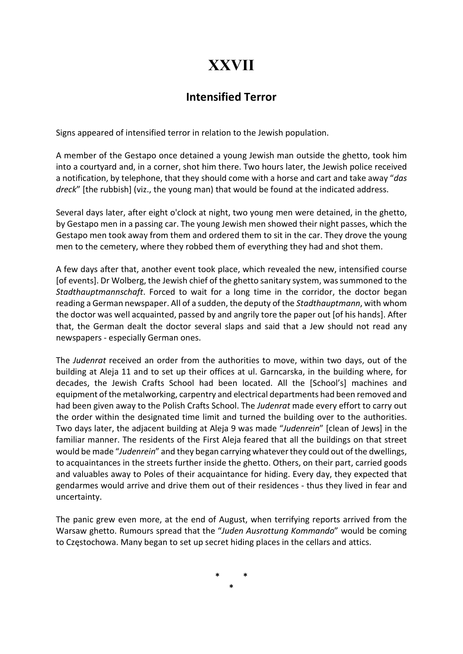## XXVII

### Intensified Terror

Signs appeared of intensified terror in relation to the Jewish population.

A member of the Gestapo once detained a young Jewish man outside the ghetto, took him into a courtyard and, in a corner, shot him there. Two hours later, the Jewish police received a notification, by telephone, that they should come with a horse and cart and take away "das dreck" [the rubbish] (viz., the young man) that would be found at the indicated address.

Several days later, after eight o'clock at night, two young men were detained, in the ghetto, by Gestapo men in a passing car. The young Jewish men showed their night passes, which the Gestapo men took away from them and ordered them to sit in the car. They drove the young men to the cemetery, where they robbed them of everything they had and shot them.

A few days after that, another event took place, which revealed the new, intensified course [of events]. Dr Wolberg, the Jewish chief of the ghetto sanitary system, was summoned to the Stadthauptmannschaft. Forced to wait for a long time in the corridor, the doctor began reading a German newspaper. All of a sudden, the deputy of the Stadthauptmann, with whom the doctor was well acquainted, passed by and angrily tore the paper out [of his hands]. After that, the German dealt the doctor several slaps and said that a Jew should not read any newspapers - especially German ones.

The Judenrat received an order from the authorities to move, within two days, out of the building at Aleja 11 and to set up their offices at ul. Garncarska, in the building where, for decades, the Jewish Crafts School had been located. All the [School's] machines and equipment of the metalworking, carpentry and electrical departments had been removed and had been given away to the Polish Crafts School. The Judenrat made every effort to carry out the order within the designated time limit and turned the building over to the authorities. Two days later, the adjacent building at Aleja 9 was made "Judenrein" [clean of Jews] in the familiar manner. The residents of the First Aleja feared that all the buildings on that street would be made "Judenrein" and they began carrying whatever they could out of the dwellings, to acquaintances in the streets further inside the ghetto. Others, on their part, carried goods and valuables away to Poles of their acquaintance for hiding. Every day, they expected that gendarmes would arrive and drive them out of their residences - thus they lived in fear and uncertainty.

The panic grew even more, at the end of August, when terrifying reports arrived from the Warsaw ghetto. Rumours spread that the "Juden Ausrottung Kommando" would be coming to Częstochowa. Many began to set up secret hiding places in the cellars and attics.

> \* \* \*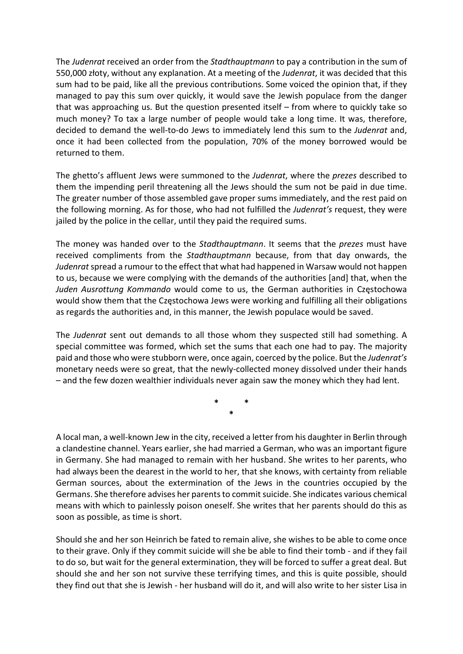The Judenrat received an order from the Stadthauptmann to pay a contribution in the sum of 550,000 złoty, without any explanation. At a meeting of the Judenrat, it was decided that this sum had to be paid, like all the previous contributions. Some voiced the opinion that, if they managed to pay this sum over quickly, it would save the Jewish populace from the danger that was approaching us. But the question presented itself – from where to quickly take so much money? To tax a large number of people would take a long time. It was, therefore, decided to demand the well-to-do Jews to immediately lend this sum to the Judenrat and, once it had been collected from the population, 70% of the money borrowed would be returned to them.

The ghetto's affluent Jews were summoned to the Judenrat, where the prezes described to them the impending peril threatening all the Jews should the sum not be paid in due time. The greater number of those assembled gave proper sums immediately, and the rest paid on the following morning. As for those, who had not fulfilled the Judenrat's request, they were jailed by the police in the cellar, until they paid the required sums.

The money was handed over to the *Stadthauptmann*. It seems that the *prezes* must have received compliments from the Stadthauptmann because, from that day onwards, the Judenrat spread a rumour to the effect that what had happened in Warsaw would not happen to us, because we were complying with the demands of the authorities [and] that, when the Juden Ausrottung Kommando would come to us, the German authorities in Częstochowa would show them that the Częstochowa Jews were working and fulfilling all their obligations as regards the authorities and, in this manner, the Jewish populace would be saved.

The Judenrat sent out demands to all those whom they suspected still had something. A special committee was formed, which set the sums that each one had to pay. The majority paid and those who were stubborn were, once again, coerced by the police. But the Judenrat's monetary needs were so great, that the newly-collected money dissolved under their hands – and the few dozen wealthier individuals never again saw the money which they had lent.

> \* \* \*

A local man, a well-known Jew in the city, received a letter from his daughter in Berlin through a clandestine channel. Years earlier, she had married a German, who was an important figure in Germany. She had managed to remain with her husband. She writes to her parents, who had always been the dearest in the world to her, that she knows, with certainty from reliable German sources, about the extermination of the Jews in the countries occupied by the Germans. She therefore advises her parents to commit suicide. She indicates various chemical means with which to painlessly poison oneself. She writes that her parents should do this as soon as possible, as time is short.

Should she and her son Heinrich be fated to remain alive, she wishes to be able to come once to their grave. Only if they commit suicide will she be able to find their tomb - and if they fail to do so, but wait for the general extermination, they will be forced to suffer a great deal. But should she and her son not survive these terrifying times, and this is quite possible, should they find out that she is Jewish - her husband will do it, and will also write to her sister Lisa in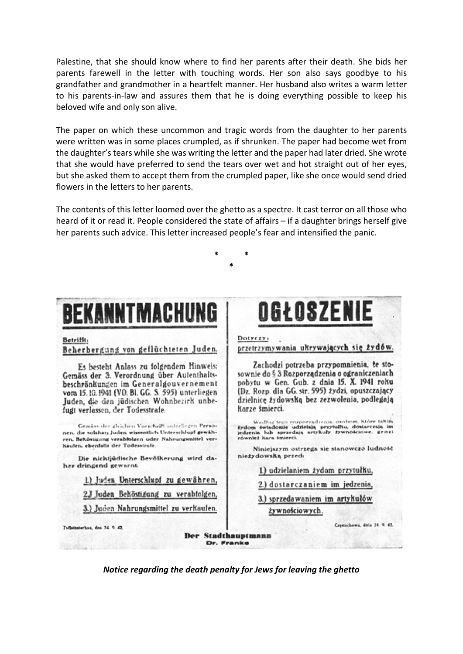Palestine, that she should know where to find her parents after their death. She bids her parents farewell in the letter with touching words. Her son also says goodbye to his grandfather and grandmother in a heartfelt manner. Her husband also writes a warm letter to his parents-in-law and assures them that he is doing everything possible to keep his beloved wife and only son alive.

The paper on which these uncommon and tragic words from the daughter to her parents were written was in some places crumpled, as if shrunken. The paper had become wet from the daughter's tears while she was writing the letter and the paper had later dried. She wrote that she would have preferred to send the tears over wet and hot straight out of her eyes, but she asked them to accept them from the crumpled paper, like she once would send dried flowers in the letters to her parents.

The contents of this letter loomed over the ghetto as a spectre. It cast terror on all those who heard of it or read it. People considered the state of affairs - if a daughter brings herself give her parents such advice. This letter increased people's fear and intensified the panic.

# BEKANNTMACHUNG

#### Betrifft:

#### Beherbergung von geflüchteten Juden.

Es besteht Anlass zu folgendem Hinweis: Gemäss der 3. Verordnung über Aufenthaltsbeschränkungen im Generalgouvernement vom 15.10.1941 (VO. Bl. GG. S. 595) unterliegen Juden, die den jüdischen Wohnbezirk unbefugt verlassen, der Todesstrafe.

Gemäss der gleichen Vorschrift unterliegen Personen, die solchen Juden wissentlich Unterschlupf gewähren. Beköstigang verabfolgen oder Nahrungsmittel verhaufen, ebenfalls der Todesstrafe.

Die nichtjüdische Bevölkerung wird daher dringend gewarnts

1) Juden Unterschlupf zu gewähren,

23 Juden Behöstigung zu verabiolgen,

3.) Juden Nahrungsmittel zu verkaufen.

OGŁOSZENIE

Dotyezy: przetrzymywania ukrywających się żydów.

Zachodzi potrzeba przypomnienia, że stosownie do § 3 Rozporządzenia o ograniczeniach pobytu w Gen. Gub. z dnia 15. X. 1941 roku (Dz. Rozp. dla GG. str. 595) żydzi, opuszczający dzielnicę żydowską bez zezwolenia, podlegają Karze śmierci.

Według tego rozporzadzenia, osobom, które takim<br>żydom świadomie udzielają przytułku, dostarczają im<br>jedzenia lub sprzedają artykuły żywnościowe, grozi<br>również kara śmierci.

Niniejszym ostrzega się stanowczo ludność nieżydowską przed:

1.) udzielaniem żydom przytułku,

2.) dostarczaniem im jedzenia,

3.) sprzedawaniem im artykułów

żywnościowych.

Tellemotorhou, den 24. 9. 42.

**Der Stadthauptmann** Dr. Franke

Crestorhows, data 24, 9, 42.

Notice regarding the death penalty for Jews for leaving the ghetto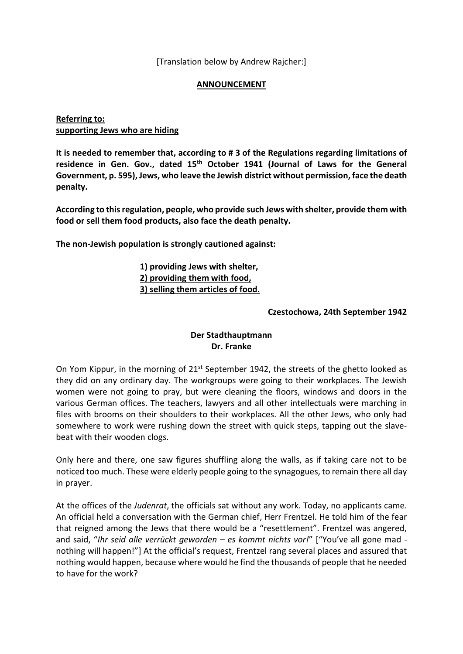[Translation below by Andrew Rajcher:]

#### ANNOUNCEMENT

#### Referring to: supporting Jews who are hiding

It is needed to remember that, according to # 3 of the Regulations regarding limitations of residence in Gen. Gov., dated 15<sup>th</sup> October 1941 (Journal of Laws for the General Government, p. 595), Jews, who leave the Jewish district without permission, face the death penalty.

According to this regulation, people, who provide such Jews with shelter, provide them with food or sell them food products, also face the death penalty.

The non-Jewish population is strongly cautioned against:

#### 1) providing Jews with shelter, 2) providing them with food, 3) selling them articles of food.

#### Czestochowa, 24th September 1942

#### Der Stadthauptmann Dr. Franke

On Yom Kippur, in the morning of 21<sup>st</sup> September 1942, the streets of the ghetto looked as they did on any ordinary day. The workgroups were going to their workplaces. The Jewish women were not going to pray, but were cleaning the floors, windows and doors in the various German offices. The teachers, lawyers and all other intellectuals were marching in files with brooms on their shoulders to their workplaces. All the other Jews, who only had somewhere to work were rushing down the street with quick steps, tapping out the slavebeat with their wooden clogs.

Only here and there, one saw figures shuffling along the walls, as if taking care not to be noticed too much. These were elderly people going to the synagogues, to remain there all day in prayer.

At the offices of the *Judenrat*, the officials sat without any work. Today, no applicants came. An official held a conversation with the German chief, Herr Frentzel. He told him of the fear that reigned among the Jews that there would be a "resettlement". Frentzel was angered, and said, "Ihr seid alle verrückt geworden – es kommt nichts vor!" ["You've all gone mad nothing will happen!"] At the official's request, Frentzel rang several places and assured that nothing would happen, because where would he find the thousands of people that he needed to have for the work?